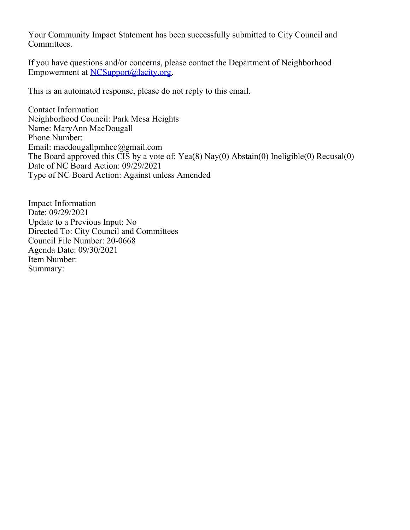Your Community Impact Statement has been successfully submitted to City Council and Committees.

If you have questions and/or concerns, please contact the Department of Neighborhood Empowerment at [NCSupport@lacity.org](mailto:NCSupport@lacity.org).

This is an automated response, please do not reply to this email.

Contact Information Neighborhood Council: Park Mesa Heights Name: MaryAnn MacDougall Phone Number: Email: macdougallpmhcc@gmail.com The Board approved this CIS by a vote of: Yea(8) Nay(0) Abstain(0) Ineligible(0) Recusal(0) Date of NC Board Action: 09/29/2021 Type of NC Board Action: Against unless Amended

Impact Information Date: 09/29/2021 Update to a Previous Input: No Directed To: City Council and Committees Council File Number: 20-0668 Agenda Date: 09/30/2021 Item Number: Summary: